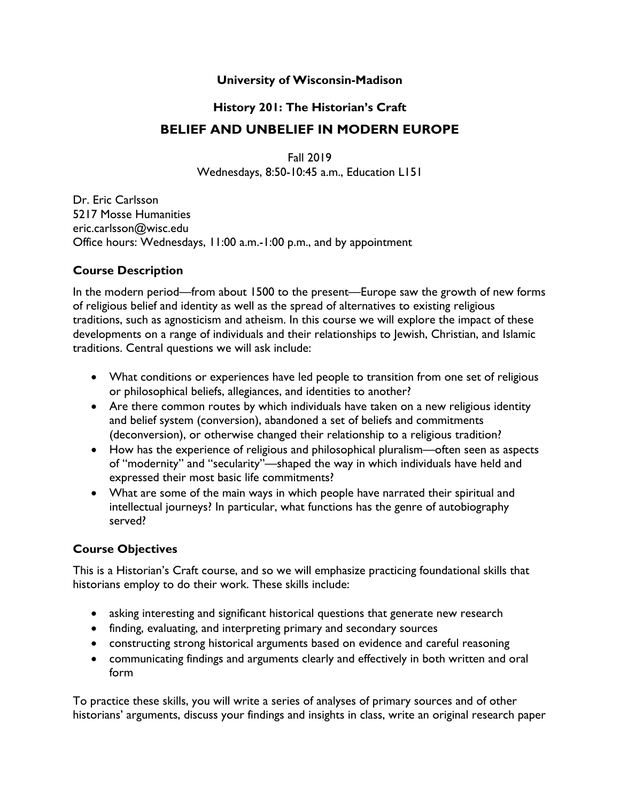#### **University of Wisconsin-Madison**

# **History 201: The Historian's Craft BELIEF AND UNBELIEF IN MODERN EUROPE**

Fall 2019 Wednesdays, 8:50-10:45 a.m., Education L151

Dr. Eric Carlsson 5217 Mosse Humanities eric.carlsson@wisc.edu Office hours: Wednesdays, 11:00 a.m.-1:00 p.m., and by appointment

#### **Course Description**

In the modern period—from about 1500 to the present—Europe saw the growth of new forms of religious belief and identity as well as the spread of alternatives to existing religious traditions, such as agnosticism and atheism. In this course we will explore the impact of these developments on a range of individuals and their relationships to Jewish, Christian, and Islamic traditions. Central questions we will ask include:

- What conditions or experiences have led people to transition from one set of religious or philosophical beliefs, allegiances, and identities to another?
- Are there common routes by which individuals have taken on a new religious identity and belief system (conversion), abandoned a set of beliefs and commitments (deconversion), or otherwise changed their relationship to a religious tradition?
- How has the experience of religious and philosophical pluralism—often seen as aspects of "modernity" and "secularity"—shaped the way in which individuals have held and expressed their most basic life commitments?
- What are some of the main ways in which people have narrated their spiritual and intellectual journeys? In particular, what functions has the genre of autobiography served?

### **Course Objectives**

This is a Historian's Craft course, and so we will emphasize practicing foundational skills that historians employ to do their work. These skills include:

- asking interesting and significant historical questions that generate new research
- finding, evaluating, and interpreting primary and secondary sources
- constructing strong historical arguments based on evidence and careful reasoning
- communicating findings and arguments clearly and effectively in both written and oral form

To practice these skills, you will write a series of analyses of primary sources and of other historians' arguments, discuss your findings and insights in class, write an original research paper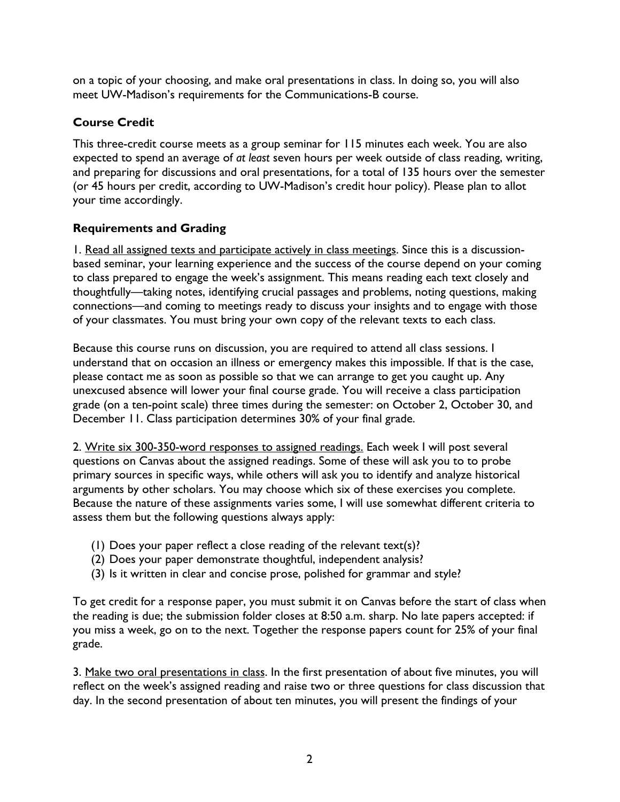on a topic of your choosing, and make oral presentations in class. In doing so, you will also meet UW-Madison's requirements for the Communications-B course.

## **Course Credit**

This three-credit course meets as a group seminar for 115 minutes each week. You are also expected to spend an average of *at least* seven hours per week outside of class reading, writing, and preparing for discussions and oral presentations, for a total of 135 hours over the semester (or 45 hours per credit, according to UW-Madison's credit hour policy). Please plan to allot your time accordingly.

## **Requirements and Grading**

1. Read all assigned texts and participate actively in class meetings. Since this is a discussionbased seminar, your learning experience and the success of the course depend on your coming to class prepared to engage the week's assignment. This means reading each text closely and thoughtfully—taking notes, identifying crucial passages and problems, noting questions, making connections—and coming to meetings ready to discuss your insights and to engage with those of your classmates. You must bring your own copy of the relevant texts to each class.

Because this course runs on discussion, you are required to attend all class sessions. I understand that on occasion an illness or emergency makes this impossible. If that is the case, please contact me as soon as possible so that we can arrange to get you caught up. Any unexcused absence will lower your final course grade. You will receive a class participation grade (on a ten-point scale) three times during the semester: on October 2, October 30, and December 11. Class participation determines 30% of your final grade.

2. Write six 300-350-word responses to assigned readings. Each week I will post several questions on Canvas about the assigned readings. Some of these will ask you to to probe primary sources in specific ways, while others will ask you to identify and analyze historical arguments by other scholars. You may choose which six of these exercises you complete. Because the nature of these assignments varies some, I will use somewhat different criteria to assess them but the following questions always apply:

- (1) Does your paper reflect a close reading of the relevant text(s)?
- (2) Does your paper demonstrate thoughtful, independent analysis?
- (3) Is it written in clear and concise prose, polished for grammar and style?

To get credit for a response paper, you must submit it on Canvas before the start of class when the reading is due; the submission folder closes at 8:50 a.m. sharp. No late papers accepted: if you miss a week, go on to the next. Together the response papers count for 25% of your final grade.

3. Make two oral presentations in class. In the first presentation of about five minutes, you will reflect on the week's assigned reading and raise two or three questions for class discussion that day. In the second presentation of about ten minutes, you will present the findings of your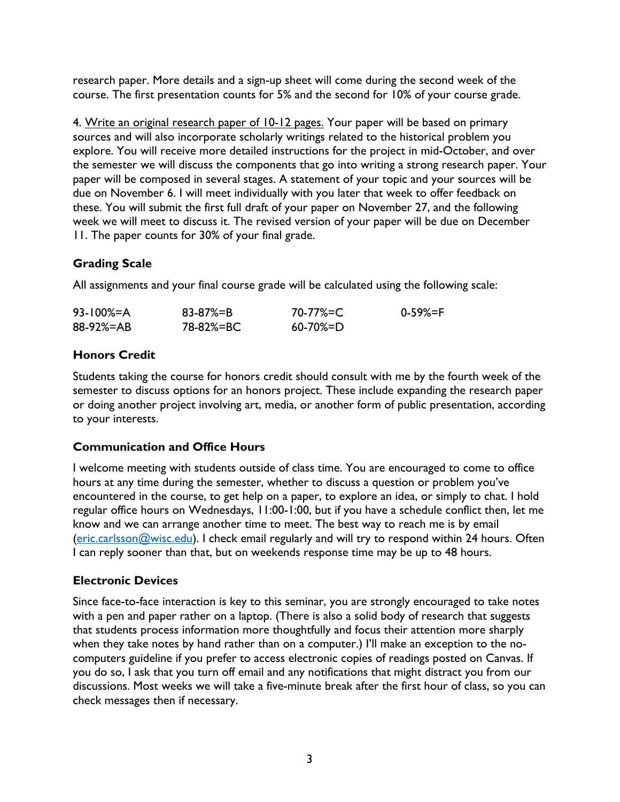research paper. More details and a sign-up sheet will come during the second week of the course. The first presentation counts for 5% and the second for 10% of your course grade.

4. Write an original research paper of 10-12 pages. Your paper will be based on primary sources and will also incorporate scholarly writings related to the historical problem you explore. You will receive more detailed instructions for the project in mid-October, and over the semester we will discuss the components that go into writing a strong research paper. Your paper will be composed in several stages. A statement of your topic and your sources will be due on November 6. I will meet individually with you later that week to offer feedback on these. You will submit the first full draft of your paper on November 27, and the following week we will meet to discuss it. The revised version of your paper will be due on December 11. The paper counts for 30% of your final grade.

## **Grading Scale**

All assignments and your final course grade will be calculated using the following scale:

| $93 - 100\% = A$ | $83 - 87\% = B$ | 70-77%=C        | 0-59%=F |
|------------------|-----------------|-----------------|---------|
| 88-92%=AB        | 78-82%=BC       | $60 - 70\% = D$ |         |

## **Honors Credit**

Students taking the course for honors credit should consult with me by the fourth week of the semester to discuss options for an honors project. These include expanding the research paper or doing another project involving art, media, or another form of public presentation, according to your interests.

### **Communication and Office Hours**

I welcome meeting with students outside of class time. You are encouraged to come to office hours at any time during the semester, whether to discuss a question or problem you've encountered in the course, to get help on a paper, to explore an idea, or simply to chat. I hold regular office hours on Wednesdays, 11:00-1:00, but if you have a schedule conflict then, let me know and we can arrange another time to meet. The best way to reach me is by email (eric.carlsson@wisc.edu). I check email regularly and will try to respond within 24 hours. Often I can reply sooner than that, but on weekends response time may be up to 48 hours.

### **Electronic Devices**

Since face-to-face interaction is key to this seminar, you are strongly encouraged to take notes with a pen and paper rather on a laptop. (There is also a solid body of research that suggests that students process information more thoughtfully and focus their attention more sharply when they take notes by hand rather than on a computer.) I'll make an exception to the nocomputers guideline if you prefer to access electronic copies of readings posted on Canvas. If you do so, I ask that you turn off email and any notifications that might distract you from our discussions. Most weeks we will take a five-minute break after the first hour of class, so you can check messages then if necessary.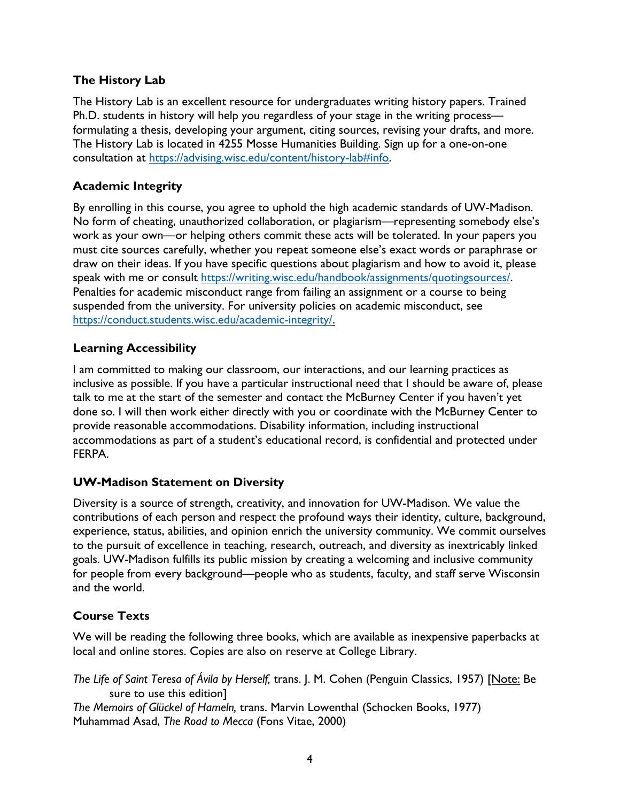## **The History Lab**

The History Lab is an excellent resource for undergraduates writing history papers. Trained Ph.D. students in history will help you regardless of your stage in the writing process formulating a thesis, developing your argument, citing sources, revising your drafts, and more. The History Lab is located in 4255 Mosse Humanities Building. Sign up for a one-on-one consultation at https://advising.wisc.edu/content/history-lab#info.

## **Academic Integrity**

By enrolling in this course, you agree to uphold the high academic standards of UW-Madison. No form of cheating, unauthorized collaboration, or plagiarism—representing somebody else's work as your own—or helping others commit these acts will be tolerated. In your papers you must cite sources carefully, whether you repeat someone else's exact words or paraphrase or draw on their ideas. If you have specific questions about plagiarism and how to avoid it, please speak with me or consult https://writing.wisc.edu/handbook/assignments/quotingsources/. Penalties for academic misconduct range from failing an assignment or a course to being suspended from the university. For university policies on academic misconduct, see https://conduct.students.wisc.edu/academic-integrity/.

### **Learning Accessibility**

I am committed to making our classroom, our interactions, and our learning practices as inclusive as possible. If you have a particular instructional need that I should be aware of, please talk to me at the start of the semester and contact the McBurney Center if you haven't yet done so. I will then work either directly with you or coordinate with the McBurney Center to provide reasonable accommodations. Disability information, including instructional accommodations as part of a student's educational record, is confidential and protected under FERPA.

## **UW-Madison Statement on Diversity**

Diversity is a source of strength, creativity, and innovation for UW-Madison. We value the contributions of each person and respect the profound ways their identity, culture, background, experience, status, abilities, and opinion enrich the university community. We commit ourselves to the pursuit of excellence in teaching, research, outreach, and diversity as inextricably linked goals. UW-Madison fulfills its public mission by creating a welcoming and inclusive community for people from every background—people who as students, faculty, and staff serve Wisconsin and the world.

## **Course Texts**

We will be reading the following three books, which are available as inexpensive paperbacks at local and online stores. Copies are also on reserve at College Library.

*The Life of Saint Teresa of Ávila by Herself,* trans. J. M. Cohen (Penguin Classics, 1957) [Note: Be sure to use this edition] *The Memoirs of Glückel of Hameln,* trans. Marvin Lowenthal (Schocken Books, 1977) Muhammad Asad, *The Road to Mecca* (Fons Vitae, 2000)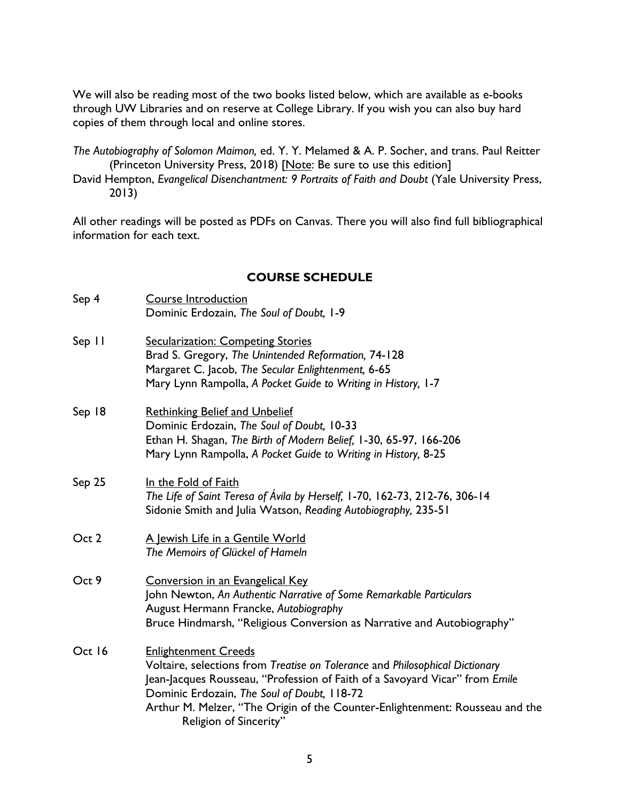We will also be reading most of the two books listed below, which are available as e-books through UW Libraries and on reserve at College Library. If you wish you can also buy hard copies of them through local and online stores.

*The Autobiography of Solomon Maimon,* ed. Y. Y. Melamed & A. P. Socher, and trans. Paul Reitter (Princeton University Press, 2018) [Note: Be sure to use this edition]

David Hempton, *Evangelical Disenchantment: 9 Portraits of Faith and Doubt (Yale University Press,* 2013)

All other readings will be posted as PDFs on Canvas. There you will also find full bibliographical information for each text.

#### **COURSE SCHEDULE**

| Sep 4  | <b>Course Introduction</b><br>Dominic Erdozain, The Soul of Doubt, 1-9                                                                                                                                                                                                                                                                              |
|--------|-----------------------------------------------------------------------------------------------------------------------------------------------------------------------------------------------------------------------------------------------------------------------------------------------------------------------------------------------------|
| Sep II | Secularization: Competing Stories<br>Brad S. Gregory, The Unintended Reformation, 74-128<br>Margaret C. Jacob, The Secular Enlightenment, 6-65<br>Mary Lynn Rampolla, A Pocket Guide to Writing in History, 1-7                                                                                                                                     |
| Sep 18 | <b>Rethinking Belief and Unbelief</b><br>Dominic Erdozain, The Soul of Doubt, 10-33<br>Ethan H. Shagan, The Birth of Modern Belief, 1-30, 65-97, 166-206<br>Mary Lynn Rampolla, A Pocket Guide to Writing in History, 8-25                                                                                                                          |
| Sep 25 | In the Fold of Faith<br>The Life of Saint Teresa of Avila by Herself, 1-70, 162-73, 212-76, 306-14<br>Sidonie Smith and Julia Watson, Reading Autobiography, 235-51                                                                                                                                                                                 |
| Oct 2  | A Jewish Life in a Gentile World<br>The Memoirs of Glückel of Hameln                                                                                                                                                                                                                                                                                |
| Oct 9  | Conversion in an Evangelical Key<br>John Newton, An Authentic Narrative of Some Remarkable Particulars<br>August Hermann Francke, Autobiography<br>Bruce Hindmarsh, "Religious Conversion as Narrative and Autobiography"                                                                                                                           |
| Oct 16 | <b>Enlightenment Creeds</b><br>Voltaire, selections from Treatise on Tolerance and Philosophical Dictionary<br>Jean-Jacques Rousseau, "Profession of Faith of a Savoyard Vicar" from Emile<br>Dominic Erdozain, The Soul of Doubt, 118-72<br>Arthur M. Melzer, "The Origin of the Counter-Enlightenment: Rousseau and the<br>Religion of Sincerity" |